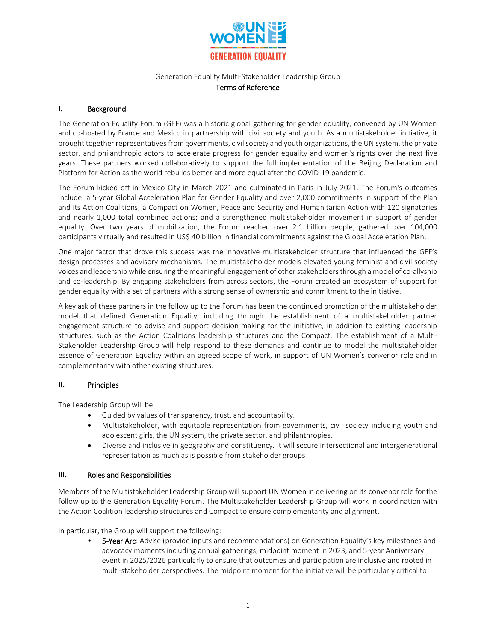

# Generation Equality Multi-Stakeholder Leadership Group

## Terms of Reference

## **I.** Background

The Generation Equality Forum (GEF) was a historic global gathering for gender equality, convened by UN Women and co-hosted by France and Mexico in partnership with civil society and youth. As a multistakeholder initiative, it brought together representatives from governments, civil society and youth organizations, the UN system, the private sector, and philanthropic actors to accelerate progress for gender equality and women's rights over the next five years. These partners worked collaboratively to support the full implementation of the Beijing Declaration and Platform for Action as the world rebuilds better and more equal after the COVID-19 pandemic.

The Forum kicked off in [Mexico City](https://forogeneracionigualdad.mx/?lang=en) in March 2021 and culminated in Paris in July 2021. The Forum's outcomes include: a 5-year Global Acceleration Plan for Gender Equality and over 2,000 commitments in support of the Plan and its Action Coalitions; a Compact on Women, Peace and Security and Humanitarian Action with 120 signatories and nearly 1,000 total combined actions; and a strengthened multistakeholder movement in support of gender equality. Over two years of mobilization, the Forum reached over 2.1 billion people, gathered over 104,000 participants virtually and resulted in US\$ 40 billion in financial commitments against the Global Acceleration Plan.

One major factor that drove this success was the innovative multistakeholder structure that influenced the GEF's design processes and advisory mechanisms. The multistakeholder models elevated young feminist and civil society voices and leadership while ensuring the meaningful engagement of other stakeholders through a model of co-allyship and co-leadership. By engaging stakeholders from across sectors, the Forum created an ecosystem of support for gender equality with a set of partners with a strong sense of ownership and commitment to the initiative.

A key ask of these partners in the follow up to the Forum has been the continued promotion of the multistakeholder model that defined Generation Equality, including through the establishment of a multistakeholder partner engagement structure to advise and support decision-making for the initiative, in addition to existing leadership structures, such as the Action Coalitions leadership structures and the Compact. The establishment of a Multi-Stakeholder Leadership Group will help respond to these demands and continue to model the multistakeholder essence of Generation Equality within an agreed scope of work, in support of UN Women's convenor role and in complementarity with other existing structures.

## **II.** Principles

The Leadership Group will be:

- Guided by values of transparency, trust, and accountability.
- Multistakeholder, with equitable representation from governments, civil society including youth and adolescent girls, the UN system, the private sector, and philanthropies.
- Diverse and inclusive in geography and constituency. It will secure intersectional and intergenerational representation as much as is possible from stakeholder groups

## **III.** Roles and Responsibilities

Members of the Multistakeholder Leadership Group will support UN Women in delivering on its convenor role for the follow up to the Generation Equality Forum. The Multistakeholder Leadership Group will work in coordination with the Action Coalition leadership structures and Compact to ensure complementarity and alignment.

In particular, the Group will support the following:

**5-Year Arc:** Advise (provide inputs and recommendations) on Generation Equality's key milestones and advocacy moments including annual gatherings, midpoint moment in 2023, and 5-year Anniversary event in 2025/2026 particularly to ensure that outcomes and participation are inclusive and rooted in multi-stakeholder perspectives. The midpoint moment for the initiative will be particularly critical to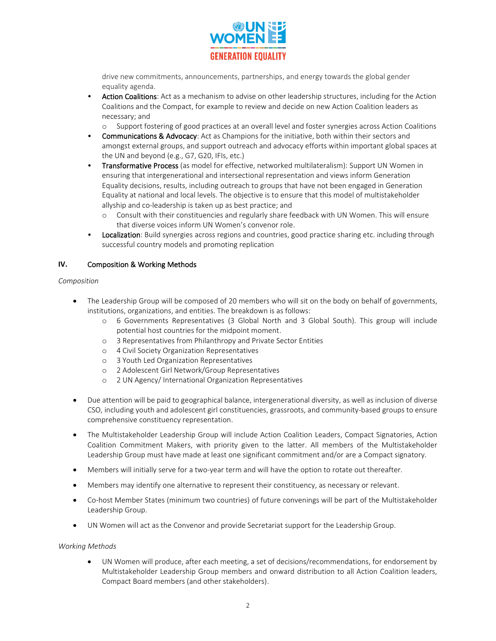

drive new commitments, announcements, partnerships, and energy towards the global gender equality agenda.

- Action Coalitions: Act as a mechanism to advise on other leadership structures, including for the Action Coalitions and the Compact, for example to review and decide on new Action Coalition leaders as necessary; and
	- o Support fostering of good practices at an overall level and foster synergies across Action Coalitions
- Communications & Advocacy: Act as Champions for the initiative, both within their sectors and amongst external groups, and support outreach and advocacy efforts within important global spaces at the UN and beyond (e.g., G7, G20, IFIs, etc.)
- Transformative Process (as model for effective, networked multilateralism): Support UN Women in ensuring that intergenerational and intersectional representation and views inform Generation Equality decisions, results, including outreach to groups that have not been engaged in Generation Equality at national and local levels. The objective is to ensure that this model of multistakeholder allyship and co-leadership is taken up as best practice; and
	- o Consult with their constituencies and regularly share feedback with UN Women. This will ensure that diverse voices inform UN Women's convenor role.
- **Localization**: Build synergies across regions and countries, good practice sharing etc. including through successful country models and promoting replication

## **IV.** Composition & Working Methods

#### *Composition*

- The Leadership Group will be composed of 20 members who will sit on the body on behalf of governments, institutions, organizations, and entities. The breakdown is as follows:
	- o 6 Governments Representatives (3 Global North and 3 Global South). This group will include potential host countries for the midpoint moment.
	- o 3 Representatives from Philanthropy and Private Sector Entities
	- o 4 Civil Society Organization Representatives
	- o 3 Youth Led Organization Representatives
	- o 2 Adolescent Girl Network/Group Representatives
	- o 2 UN Agency/ International Organization Representatives
- Due attention will be paid to geographical balance, intergenerational diversity, as well as inclusion of diverse CSO, including youth and adolescent girl constituencies, grassroots, and community-based groups to ensure comprehensive constituency representation.
- The Multistakeholder Leadership Group will include Action Coalition Leaders, Compact Signatories, Action Coalition Commitment Makers, with priority given to the latter. All members of the Multistakeholder Leadership Group must have made at least one significant commitment and/or are a Compact signatory.
- Members will initially serve for a two-year term and will have the option to rotate out thereafter.
- Members may identify one alternative to represent their constituency, as necessary or relevant.
- Co-host Member States (minimum two countries) of future convenings will be part of the Multistakeholder Leadership Group.
- UN Women will act as the Convenor and provide Secretariat support for the Leadership Group.

#### *Working Methods*

• UN Women will produce, after each meeting, a set of decisions/recommendations, for endorsement by Multistakeholder Leadership Group members and onward distribution to all Action Coalition leaders, Compact Board members (and other stakeholders).